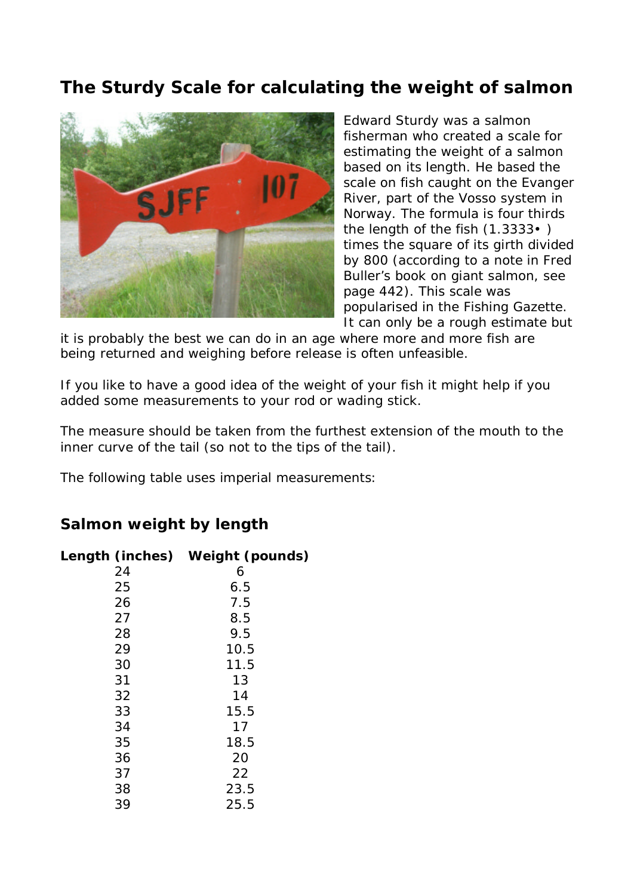## **The Sturdy Scale for calculating the weight of salmon**



Edward Sturdy was a salmon fisherman who created a scale for estimating the weight of a salmon based on its length. He based the scale on fish caught on the Evanger River, part of the Vosso system in Norway. The formula is four thirds the length of the fish (1.3333•) times the square of its girth divided by 800 (according to a note in Fred Buller's book on giant salmon, see page 442). This scale was popularised in the Fishing Gazette. It can only be a rough estimate but

it is probably the best we can do in an age where more and more fish are being returned and weighing before release is often unfeasible.

If you like to have a good idea of the weight of your fish it might help if you added some measurements to your rod or wading stick.

The measure should be taken from the furthest extension of the mouth to the inner curve of the tail (so not to the tips of the tail).

The following table uses imperial measurements:

## **Salmon weight by length**

| Length (inches) Weight (pounds) |
|---------------------------------|
| 6                               |
| 6.5                             |
| 7.5                             |
| 8.5                             |
| 9.5                             |
| 10.5                            |
| 11.5                            |
| 13                              |
| 14                              |
| 15.5                            |
| 17                              |
| 18.5                            |
| 20                              |
| 22                              |
| 23.5                            |
| 25.5                            |
|                                 |